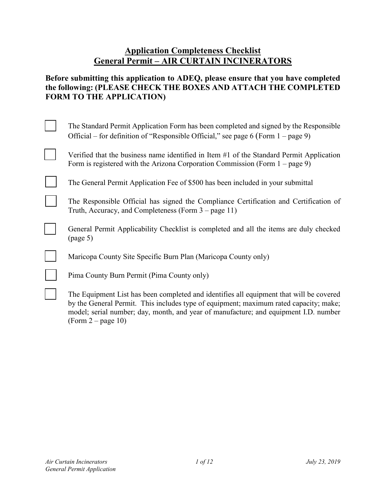## **Application Completeness Checklist General Permit – AIR CURTAIN INCINERATORS**

#### **Before submitting this application to ADEQ, please ensure that you have completed the following: (PLEASE CHECK THE BOXES AND ATTACH THE COMPLETED FORM TO THE APPLICATION)**

| The Standard Permit Application Form has been completed and signed by the Responsible<br>Official – for definition of "Responsible Official," see page 6 (Form $1$ – page 9)                                                                                                                     |
|--------------------------------------------------------------------------------------------------------------------------------------------------------------------------------------------------------------------------------------------------------------------------------------------------|
| Verified that the business name identified in Item $#1$ of the Standard Permit Application<br>Form is registered with the Arizona Corporation Commission (Form $1 - page 9$ )                                                                                                                    |
| The General Permit Application Fee of \$500 has been included in your submittal                                                                                                                                                                                                                  |
| The Responsible Official has signed the Compliance Certification and Certification of<br>Truth, Accuracy, and Completeness (Form $3$ – page 11)                                                                                                                                                  |
| General Permit Applicability Checklist is completed and all the items are duly checked<br>(page 5)                                                                                                                                                                                               |
| Maricopa County Site Specific Burn Plan (Maricopa County only)                                                                                                                                                                                                                                   |
| Pima County Burn Permit (Pima County only)                                                                                                                                                                                                                                                       |
| The Equipment List has been completed and identifies all equipment that will be covered<br>by the General Permit. This includes type of equipment; maximum rated capacity; make;<br>model; serial number; day, month, and year of manufacture; and equipment I.D. number<br>$(Form 2 - page 10)$ |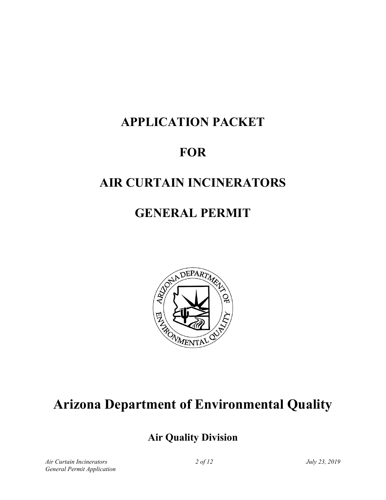# **APPLICATION PACKET**

# **FOR**

## **AIR CURTAIN INCINERATORS**

## **GENERAL PERMIT**



# **Arizona Department of Environmental Quality**

## **Air Quality Division**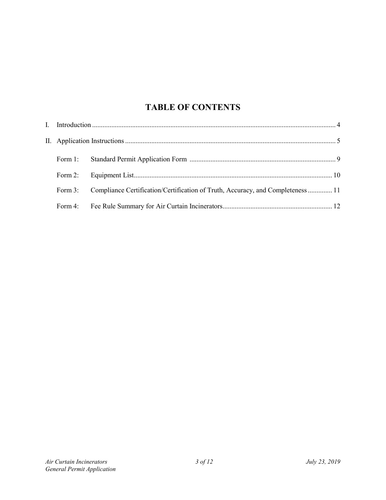## **TABLE OF CONTENTS**

| Form 3: | Compliance Certification/Certification of Truth, Accuracy, and Completeness  11 |  |
|---------|---------------------------------------------------------------------------------|--|
|         |                                                                                 |  |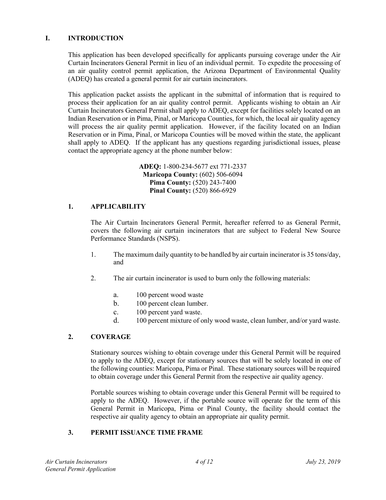#### **I. INTRODUCTION**

This application has been developed specifically for applicants pursuing coverage under the Air Curtain Incinerators General Permit in lieu of an individual permit. To expedite the processing of an air quality control permit application, the Arizona Department of Environmental Quality (ADEQ) has created a general permit for air curtain incinerators.

This application packet assists the applicant in the submittal of information that is required to process their application for an air quality control permit. Applicants wishing to obtain an Air Curtain Incinerators General Permit shall apply to ADEQ, except for facilities solely located on an Indian Reservation or in Pima, Pinal, or Maricopa Counties, for which, the local air quality agency will process the air quality permit application. However, if the facility located on an Indian Reservation or in Pima, Pinal, or Maricopa Counties will be moved within the state, the applicant shall apply to ADEQ. If the applicant has any questions regarding jurisdictional issues, please contact the appropriate agency at the phone number below:

> **ADEQ:** 1-800-234-5677 ext 771-2337 **Maricopa County:** (602) 506-6094 **Pima County:** (520) 243-7400 **Pinal County:** (520) 866-6929

#### **1. APPLICABILITY**

The Air Curtain Incinerators General Permit, hereafter referred to as General Permit, covers the following air curtain incinerators that are subject to Federal New Source Performance Standards (NSPS).

- 1. The maximum daily quantity to be handled by air curtain incinerator is 35 tons/day, and
- 2. The air curtain incinerator is used to burn only the following materials:
	- a. 100 percent wood waste
	- b. 100 percent clean lumber.
	- c. 100 percent yard waste.
	- d. 100 percent mixture of only wood waste, clean lumber, and/or yard waste.

#### **2. COVERAGE**

Stationary sources wishing to obtain coverage under this General Permit will be required to apply to the ADEQ, except for stationary sources that will be solely located in one of the following counties: Maricopa, Pima or Pinal. These stationary sources will be required to obtain coverage under this General Permit from the respective air quality agency.

Portable sources wishing to obtain coverage under this General Permit will be required to apply to the ADEQ. However, if the portable source will operate for the term of this General Permit in Maricopa, Pima or Pinal County, the facility should contact the respective air quality agency to obtain an appropriate air quality permit.

#### **3. PERMIT ISSUANCE TIME FRAME**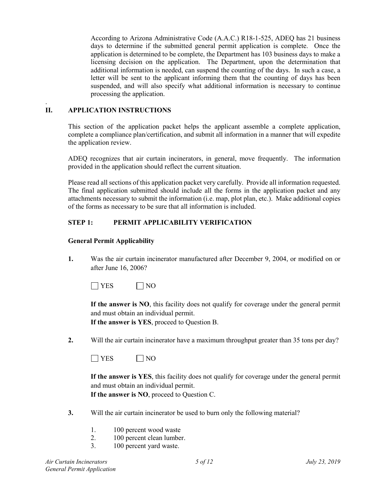According to Arizona Administrative Code (A.A.C.) R18-1-525, ADEQ has 21 business days to determine if the submitted general permit application is complete. Once the application is determined to be complete, the Department has 103 business days to make a licensing decision on the application. The Department, upon the determination that additional information is needed, can suspend the counting of the days. In such a case, a letter will be sent to the applicant informing them that the counting of days has been suspended, and will also specify what additional information is necessary to continue processing the application.

#### . **II. APPLICATION INSTRUCTIONS**

This section of the application packet helps the applicant assemble a complete application, complete a compliance plan/certification, and submit all information in a manner that will expedite the application review.

ADEQ recognizes that air curtain incinerators, in general, move frequently. The information provided in the application should reflect the current situation.

Please read all sections of this application packet very carefully. Provide all information requested. The final application submitted should include all the forms in the application packet and any attachments necessary to submit the information (i.e. map, plot plan, etc.). Make additional copies of the forms as necessary to be sure that all information is included.

#### **STEP 1: PERMIT APPLICABILITY VERIFICATION**

#### **General Permit Applicability**

**1.** Was the air curtain incinerator manufactured after December 9, 2004, or modified on or after June 16, 2006?

 $\Box$  YES  $\Box$  NO

**If the answer is NO**, this facility does not qualify for coverage under the general permit and must obtain an individual permit.

**If the answer is YES**, proceed to Question B.

**2.** Will the air curtain incinerator have a maximum throughput greater than 35 tons per day?

|--|--|

**If the answer is YES**, this facility does not qualify for coverage under the general permit and must obtain an individual permit. **If the answer is NO**, proceed to Question C.

- **3.** Will the air curtain incinerator be used to burn only the following material?
	- 1. 100 percent wood waste
	- 2. 100 percent clean lumber.
	- 3. 100 percent yard waste.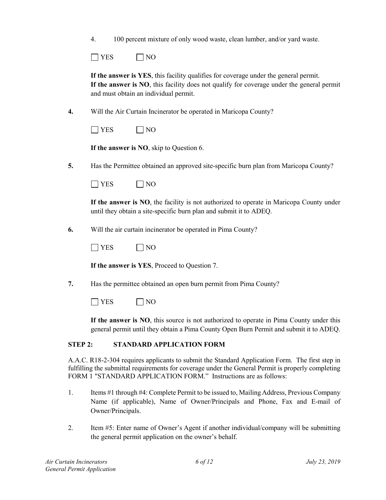|  |  | 100 percent mixture of only wood waste, clean lumber, and/or yard waste. |  |
|--|--|--------------------------------------------------------------------------|--|
|  |  |                                                                          |  |

| ⌒<br>. <i>.</i> .<br>- |
|------------------------|
|------------------------|

**If the answer is YES**, this facility qualifies for coverage under the general permit. **If the answer is NO**, this facility does not qualify for coverage under the general permit and must obtain an individual permit.

**4.** Will the Air Curtain Incinerator be operated in Maricopa County?

**If the answer is NO**, skip to Question 6.

**5.** Has the Permittee obtained an approved site-specific burn plan from Maricopa County?

| . <i>.</i> . |  |
|--------------|--|
|--------------|--|

**If the answer is NO**, the facility is not authorized to operate in Maricopa County under until they obtain a site-specific burn plan and submit it to ADEQ.

**6.** Will the air curtain incinerator be operated in Pima County?

|  | - |
|--|---|
|--|---|

**If the answer is YES**, Proceed to Question 7.

**7.** Has the permittee obtained an open burn permit from Pima County?

 $\Box$  YES  $\Box$  NO

**If the answer is NO**, this source is not authorized to operate in Pima County under this general permit until they obtain a Pima County Open Burn Permit and submit it to ADEQ.

#### **STEP 2: STANDARD APPLICATION FORM**

A.A.C. R18-2-304 requires applicants to submit the Standard Application Form. The first step in fulfilling the submittal requirements for coverage under the General Permit is properly completing FORM 1 "STANDARD APPLICATION FORM." Instructions are as follows:

- 1. Items #1 through #4: Complete Permit to be issued to, Mailing Address, Previous Company Name (if applicable), Name of Owner/Principals and Phone, Fax and E-mail of Owner/Principals.
- 2. Item #5: Enter name of Owner's Agent if another individual/company will be submitting the general permit application on the owner's behalf.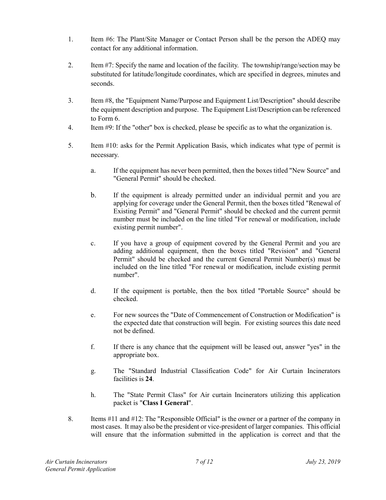- 1. Item #6: The Plant/Site Manager or Contact Person shall be the person the ADEQ may contact for any additional information.
- 2. Item #7: Specify the name and location of the facility. The township/range/section may be substituted for latitude/longitude coordinates, which are specified in degrees, minutes and seconds.
- 3. Item #8, the "Equipment Name/Purpose and Equipment List/Description" should describe the equipment description and purpose. The Equipment List/Description can be referenced to Form 6.
- 4. Item #9: If the "other" box is checked, please be specific as to what the organization is.
- 5. Item #10: asks for the Permit Application Basis, which indicates what type of permit is necessary.
	- a. If the equipment has never been permitted, then the boxes titled "New Source" and "General Permit" should be checked.
	- b. If the equipment is already permitted under an individual permit and you are applying for coverage under the General Permit, then the boxes titled "Renewal of Existing Permit" and "General Permit" should be checked and the current permit number must be included on the line titled "For renewal or modification, include existing permit number".
	- c. If you have a group of equipment covered by the General Permit and you are adding additional equipment, then the boxes titled "Revision" and "General Permit" should be checked and the current General Permit Number(s) must be included on the line titled "For renewal or modification, include existing permit number".
	- d. If the equipment is portable, then the box titled "Portable Source" should be checked.
	- e. For new sources the "Date of Commencement of Construction or Modification" is the expected date that construction will begin. For existing sources this date need not be defined.
	- f. If there is any chance that the equipment will be leased out, answer "yes" in the appropriate box.
	- g. The "Standard Industrial Classification Code" for Air Curtain Incinerators facilities is **24**.
	- h. The "State Permit Class" for Air curtain Incinerators utilizing this application packet is "**Class I General**".
- 8. Items #11 and #12: The "Responsible Official" is the owner or a partner of the company in most cases. It may also be the president or vice-president of larger companies. This official will ensure that the information submitted in the application is correct and that the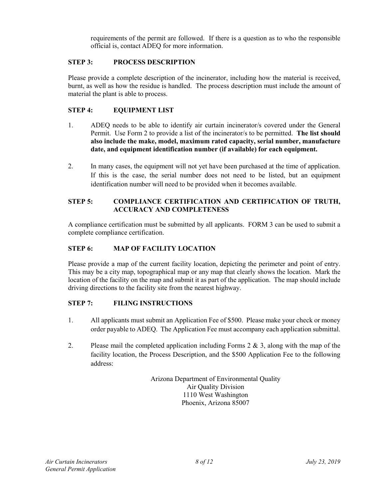requirements of the permit are followed. If there is a question as to who the responsible official is, contact ADEQ for more information.

#### **STEP 3: PROCESS DESCRIPTION**

Please provide a complete description of the incinerator, including how the material is received, burnt, as well as how the residue is handled. The process description must include the amount of material the plant is able to process.

#### **STEP 4: EQUIPMENT LIST**

- 1. ADEQ needs to be able to identify air curtain incinerator/s covered under the General Permit. Use Form 2 to provide a list of the incinerator/s to be permitted. **The list should also include the make, model, maximum rated capacity, serial number, manufacture date, and equipment identification number (if available) for each equipment.**
- 2. In many cases, the equipment will not yet have been purchased at the time of application. If this is the case, the serial number does not need to be listed, but an equipment identification number will need to be provided when it becomes available.

#### **STEP 5: COMPLIANCE CERTIFICATION AND CERTIFICATION OF TRUTH, ACCURACY AND COMPLETENESS**

A compliance certification must be submitted by all applicants. FORM 3 can be used to submit a complete compliance certification.

#### **STEP 6: MAP OF FACILITY LOCATION**

Please provide a map of the current facility location, depicting the perimeter and point of entry. This may be a city map, topographical map or any map that clearly shows the location. Mark the location of the facility on the map and submit it as part of the application. The map should include driving directions to the facility site from the nearest highway.

#### **STEP 7: FILING INSTRUCTIONS**

- 1. All applicants must submit an Application Fee of \$500. Please make your check or money order payable to ADEQ. The Application Fee must accompany each application submittal.
- 2. Please mail the completed application including Forms  $2 \& 3$ , along with the map of the facility location, the Process Description, and the \$500 Application Fee to the following address:

Arizona Department of Environmental Quality Air Quality Division 1110 West Washington Phoenix, Arizona 85007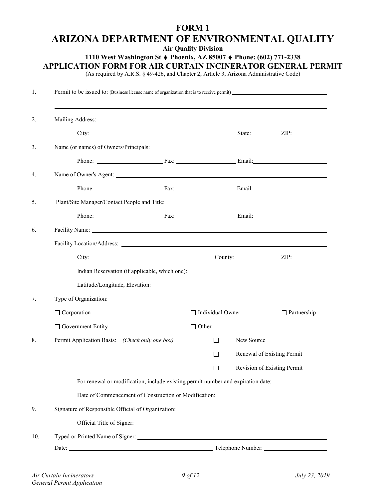## **FORM 1 ARIZONA DEPARTMENT OF ENVIRONMENTAL QUALITY**

**Air Quality Division**

#### **1110 West Washington St** ♦ **Phoenix, AZ 85007** ♦ **Phone: (602) 771-2338**

**APPLICATION FORM FOR AIR CURTAIN INCINERATOR GENERAL PERMIT** 

(As required by A.R.S. § 49-426, and Chapter 2, Article 3, Arizona Administrative Code)

| Facility Name: New York 2014 19:30 and 2014 19:30 and 2014 19:30 and 2014 19:30 and 2014 19:30 and 2014 19:30  |                         |                             |
|----------------------------------------------------------------------------------------------------------------|-------------------------|-----------------------------|
|                                                                                                                |                         |                             |
|                                                                                                                |                         |                             |
|                                                                                                                |                         |                             |
| Latitude/Longitude, Elevation: Manual Manual Manual Manual Manual Manual Manual Manual Manual Manual Manual Ma |                         |                             |
| Type of Organization:                                                                                          |                         |                             |
| $\Box$ Corporation                                                                                             | $\Box$ Individual Owner | $\Box$ Partnership          |
| $\Box$ Government Entity                                                                                       | $\Box$ Other $\Box$     |                             |
| Permit Application Basis: (Check only one box)                                                                 | New Source<br>П         |                             |
|                                                                                                                | П                       | Renewal of Existing Permit  |
|                                                                                                                | $\Box$                  | Revision of Existing Permit |
| For renewal or modification, include existing permit number and expiration date:                               |                         |                             |
|                                                                                                                |                         |                             |
|                                                                                                                |                         |                             |
|                                                                                                                |                         |                             |
|                                                                                                                |                         |                             |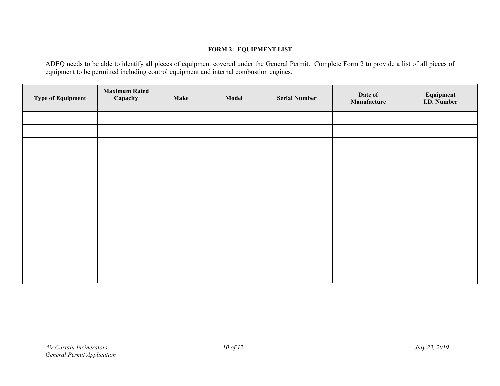#### **FORM 2: EQUIPMENT LIST**

ADEQ needs to be able to identify all pieces of equipment covered under the General Permit. Complete Form 2 to provide a list of all pieces of equipment to be permitted including control equipment and internal combustion engines.

| <b>Type of Equipment</b> | <b>Maximum Rated</b><br>Capacity | <b>Make</b> | Model | <b>Serial Number</b> | Date of<br>Manufacture | Equipment<br>I.D. Number |
|--------------------------|----------------------------------|-------------|-------|----------------------|------------------------|--------------------------|
|                          |                                  |             |       |                      |                        |                          |
|                          |                                  |             |       |                      |                        |                          |
|                          |                                  |             |       |                      |                        |                          |
|                          |                                  |             |       |                      |                        |                          |
|                          |                                  |             |       |                      |                        |                          |
|                          |                                  |             |       |                      |                        |                          |
|                          |                                  |             |       |                      |                        |                          |
|                          |                                  |             |       |                      |                        |                          |
|                          |                                  |             |       |                      |                        |                          |
|                          |                                  |             |       |                      |                        |                          |
|                          |                                  |             |       |                      |                        |                          |
|                          |                                  |             |       |                      |                        |                          |
|                          |                                  |             |       |                      |                        |                          |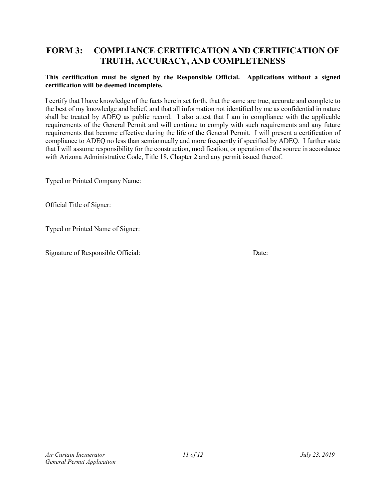## **FORM 3: COMPLIANCE CERTIFICATION AND CERTIFICATION OF TRUTH, ACCURACY, AND COMPLETENESS**

#### **This certification must be signed by the Responsible Official. Applications without a signed certification will be deemed incomplete.**

I certify that I have knowledge of the facts herein set forth, that the same are true, accurate and complete to the best of my knowledge and belief, and that all information not identified by me as confidential in nature shall be treated by ADEQ as public record. I also attest that I am in compliance with the applicable requirements of the General Permit and will continue to comply with such requirements and any future requirements that become effective during the life of the General Permit. I will present a certification of compliance to ADEQ no less than semiannually and more frequently if specified by ADEQ. I further state that I will assume responsibility for the construction, modification, or operation of the source in accordance with Arizona Administrative Code, Title 18, Chapter 2 and any permit issued thereof.

| Typed or Printed Company Name:   |
|----------------------------------|
|                                  |
| Official Title of Signer:        |
|                                  |
| Typed or Printed Name of Signer: |
|                                  |
| Date:                            |